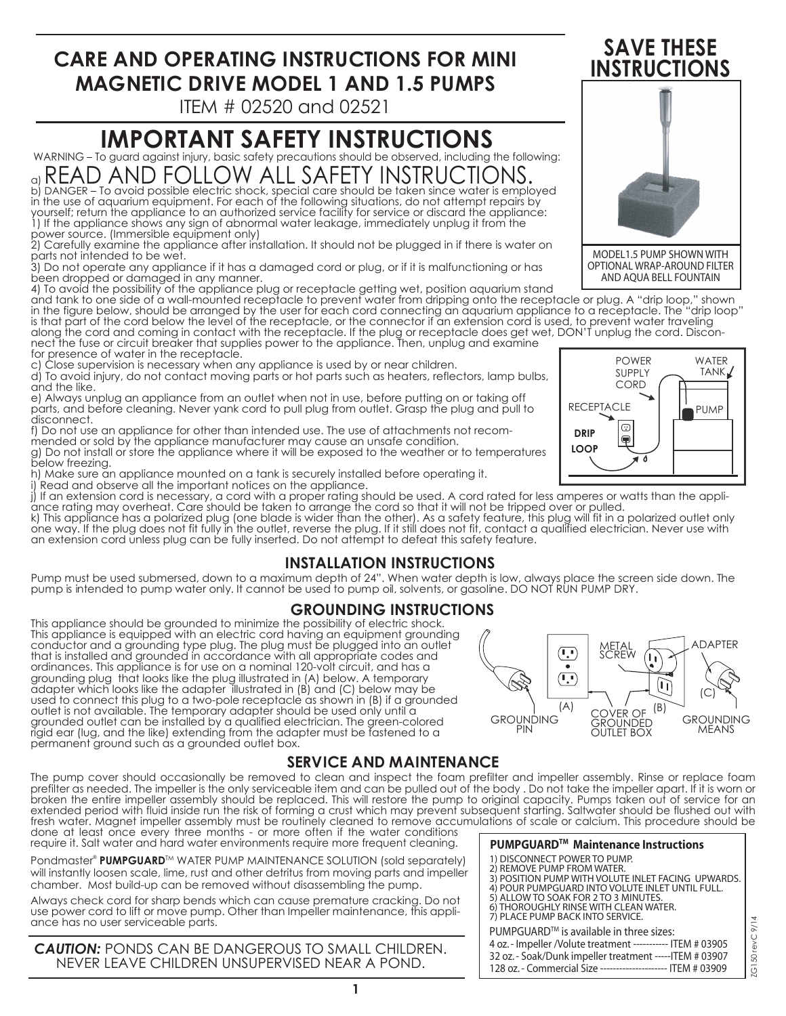# **CARE AND OPERATING INSTRUCTIONS FOR MINI MAGNETIC DRIVE MODEL 1 AND 1.5 PUMPS**

ITEM # 02520 and 02521

# **IMPORTANT SAFETY INSTRUCTIONS**

WARNING – To guard against injury, basic safety precautions should be observed, including the following:

a) READ AND FOLLOW ALL SAFETY INSTRUCTIONS.<br>b) DANGER — To avoid possible electric shock, special care should be taken since water is employed . in the use of aquarium equipment. For each of the following situations, do not attempt repairs by

yourself; return the appliance to an authorized service facility for service or discard the appliance: 1) If the appliance shows any sign of abnormal water leakage, immediately unplug it from the power source. (Immersible equipment only)

2) Carefully examine the appliance after installation. It should not be plugged in if there is water on parts not intended to be wet.

3) Do not operate any appliance if it has a damaged cord or plug, or if it is malfunctioning or has been dropped or damaged in any manner.

4) To avoid the possibility of the appliance plug or receptacle getting wet, position aquarium stand

and tank to one side of a wall-mounted receptacle to prevent water from dripping onto the receptacle or plug. A "drip loop," shown in the figure below, should be arranged by the user for each cord connecting an aquarium appliance to a receptacle. The "drip loop" is that part of the cord below the level of the receptacle, or the connector if an extension cord is used, to prevent water traveling along the cord and coming in contact with the receptacle. If the plug or receptacle does get wet, DON'T unplug the cord. Disconnect the fuse or circuit breaker that supplies power to the appliance. Then, unplug and examine for presence of water in the receptacle. POWER **WATFR** 

Close supervision is necessary when any appliance is used by or near children.

d) To avoid injury, do not contact moving parts or hot parts such as heaters, reflectors, lamp bulbs, and the like.

e) Always unplug an appliance from an outlet when not in use, before putting on or taking off parts, and before cleaning. Never yank cord to pull plug from outlet. Grasp the plug and pull to disconnect.

f) Do not use an appliance for other than intended use. The use of attachments not recom-

mended or sold by the appliance manufacturer may cause an unsafe condition. g) Do not install or store the appliance where it will be exposed to the weather or to temperatures below freezing.

h) Make sure an appliance mounted on a tank is securely installed before operating it.

i) Read and observe all the important notices on the appliance.

j) If an extension cord is necessary, a cord with a proper rating should be used. A cord rated for less amperes or watts than the appliance rating may overheat. Care should be taken to arrange the cord so that it will not be tripped over or pulled.

k) This appliance has a polarized plug (one blade is wider than the other). As a safety feature, this plug will fit in a polarized outlet only one way. If the plug does not fit fully in the outlet, reverse the plug. If it still does not fit, contact a qualified electrician. Never use with an extension cord unless plug can be fully inserted. Do not attempt to defeat this safety feature.

## **INSTALLATION INSTRUCTIONS**

Pump must be used submersed, down to a maximum depth of 24". When water depth is low, always place the screen side down. The pump is intended to pump water only. It cannot be used to pump oil, solvents, or gasoline. DO NOT RUN PUMP DRY.

#### **GROUNDING INSTRUCTIONS**

This appliance should be grounded to minimize the possibility of electric shock. This appliance is equipped with an electric cord having an equipment grounding conductor and a grounding type plug. The plug must be plugged into an outlet that is installed and grounded in accordance with all appropriate codes and ordinances. This appliance is for use on a nominal 120-volt circuit, and has a grounding plug that looks like the plug illustrated in (A) below. A temporary adapter which looks like the adapter illustrated in (B) and (C) below may be used to connect this plug to a two-pole receptacle as shown in (B) if a grounded outlet is not available. The temporary adapter should be used only until a grounded outlet can be installed by a qualified electrician. The green-colored rigid ear (lug, and the like) extending from the adapter must be fastened to a permanent ground such as a grounded outlet box.

## **SERVICE AND MAINTENANCE**

The pump cover should occasionally be removed to clean and inspect the foam prefilter and impeller assembly. Rinse or replace foam prefilter as needed. The impeller is the only serviceable item and can be pulled out of the body . Do not take the impeller apart. If it is worn or broken the entire impeller assembly should be replaced. This will restore the pump to original capacity. Pumps taken out of service for an extended period with fluid inside run the risk of forming a crust which may prevent subsequent starting. Saltwater should be flushed out with fresh water. Magnet impeller assembly must be routinely cleaned to remove accumulations of scale or calcium. This procedure should be done at least once every three months - or more often if the water conditions

require it. Salt water and hard water environments require more frequent cleaning.

Pondmaster® PUMPGUARD™ WATER PUMP MAINTENANCE SOLUTION (sold separately) will instantly loosen scale, lime, rust and other detritus from moving parts and impeller chamber. Most build-up can be removed without disassembling the pump.

Always check cord for sharp bends which can cause premature cracking. Do not use power cord to lift or move pump. Other than Impeller maintenance, this appliance has no user serviceable parts.

*CAUTION:* PONDS CAN BE DANGEROUS TO SMALL CHILDREN. NEVER LEAVE CHILDREN UNSUPERVISED NEAR A POND.





**SAVE THESE** 

OPTIONAL WRAP-AROUND FILTER AND AQUA BELL FOUNTAIN

2) REMOVE PUMP FROM WATER. 3) POSITION PUMP WITH VOLUTE INLET FACING UPWARDS. 4) POUR PUMPGUARD INTO VOLUTE INLET UNTIL FULL.

ZG150 revC 9/14

ZG150 revC 9/14

ADAPTER

GROUNDING MEANS

(C)

PUMPGUARD<sup>™</sup> is available in three sizes:

5) ALLOW TO SOAK FOR 2 TO 3 MINUTES. 6) THOROUGHLY RINSE WITH CLEAN WATER. 7) PLACE PUMP BACK INTO SERVICE.

1) DISCONNECT POWER TO PUMP.

 $(\mathbf{L}^{\bullet})$ 

 $\bullet$  $\overline{(\cdot)}$ 

4 oz. - Impeller /Volute treatment ----------- ITEM # 03905 32 oz. - Soak/Dunk impeller treatment -----ITEM # 03907

**PUMPGUARDTM Maintenance Instructions**

128 oz. - Commercial Size --------------------- ITEM # 03909

METAL **SCREW** 

 $(\tilde{\mathbf{r}})$ 

 $\sqrt{1}$ 

 $(A)$  COVER OF  $(B)$ **GROUNDED** OUTLET BOX

GROUNDING PIN